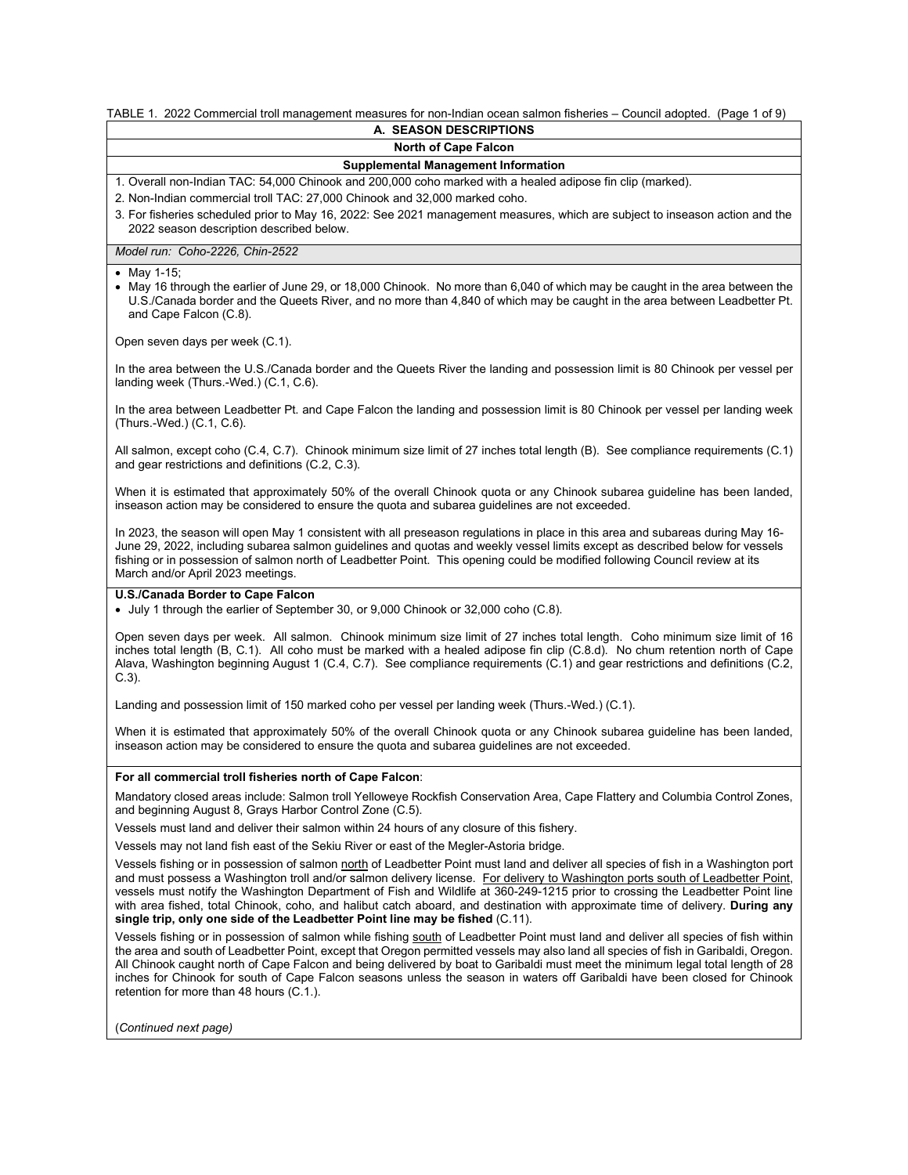#### TABLE 1. 2022 Commercial troll management measures for non-Indian ocean salmon fisheries – Council adopted. (Page 1 of 9) **A. SEASON DESCRIPTIONS**

# **North of Cape Falcon**

# **Supplemental Management Information**

1. Overall non-Indian TAC: 54,000 Chinook and 200,000 coho marked with a healed adipose fin clip (marked).

2. Non-Indian commercial troll TAC: 27,000 Chinook and 32,000 marked coho.

3. For fisheries scheduled prior to May 16, 2022: See 2021 management measures, which are subject to inseason action and the 2022 season description described below.

*Model run: Coho-2226, Chin-2522*

#### • May 1-15;

• May 16 through the earlier of June 29, or 18,000 Chinook. No more than 6,040 of which may be caught in the area between the U.S./Canada border and the Queets River, and no more than 4,840 of which may be caught in the area between Leadbetter Pt. and Cape Falcon (C.8).

Open seven days per week (C.1).

In the area between the U.S./Canada border and the Queets River the landing and possession limit is 80 Chinook per vessel per landing week (Thurs.-Wed.) (C.1, C.6).

In the area between Leadbetter Pt. and Cape Falcon the landing and possession limit is 80 Chinook per vessel per landing week (Thurs.-Wed.) (C.1, C.6).

All salmon, except coho (C.4, C.7). Chinook minimum size limit of 27 inches total length (B). See compliance requirements (C.1) and gear restrictions and definitions (C.2, C.3).

When it is estimated that approximately 50% of the overall Chinook quota or any Chinook subarea guideline has been landed, inseason action may be considered to ensure the quota and subarea guidelines are not exceeded.

In 2023, the season will open May 1 consistent with all preseason regulations in place in this area and subareas during May 16- June 29, 2022, including subarea salmon guidelines and quotas and weekly vessel limits except as described below for vessels fishing or in possession of salmon north of Leadbetter Point. This opening could be modified following Council review at its March and/or April 2023 meetings.

# **U.S./Canada Border to Cape Falcon**

• July 1 through the earlier of September 30, or 9,000 Chinook or 32,000 coho (C.8).

Open seven days per week. All salmon. Chinook minimum size limit of 27 inches total length. Coho minimum size limit of 16 inches total length (B, C.1). All coho must be marked with a healed adipose fin clip (C.8.d). No chum retention north of Cape Alava, Washington beginning August 1 (C.4, C.7). See compliance requirements (C.1) and gear restrictions and definitions (C.2,  $C.3$ 

Landing and possession limit of 150 marked coho per vessel per landing week (Thurs.-Wed.) (C.1).

When it is estimated that approximately 50% of the overall Chinook quota or any Chinook subarea guideline has been landed, inseason action may be considered to ensure the quota and subarea guidelines are not exceeded.

#### **For all commercial troll fisheries north of Cape Falcon**:

Mandatory closed areas include: Salmon troll Yelloweye Rockfish Conservation Area, Cape Flattery and Columbia Control Zones, and beginning August 8, Grays Harbor Control Zone (C.5).

Vessels must land and deliver their salmon within 24 hours of any closure of this fishery.

Vessels may not land fish east of the Sekiu River or east of the Megler-Astoria bridge.

Vessels fishing or in possession of salmon north of Leadbetter Point must land and deliver all species of fish in a Washington port and must possess a Washington troll and/or salmon delivery license. For delivery to Washington ports south of Leadbetter Point, vessels must notify the Washington Department of Fish and Wildlife at 360-249-1215 prior to crossing the Leadbetter Point line with area fished, total Chinook, coho, and halibut catch aboard, and destination with approximate time of delivery. **During any single trip, only one side of the Leadbetter Point line may be fished** (C.11).

Vessels fishing or in possession of salmon while fishing south of Leadbetter Point must land and deliver all species of fish within the area and south of Leadbetter Point, except that Oregon permitted vessels may also land all species of fish in Garibaldi, Oregon. All Chinook caught north of Cape Falcon and being delivered by boat to Garibaldi must meet the minimum legal total length of 28 inches for Chinook for south of Cape Falcon seasons unless the season in waters off Garibaldi have been closed for Chinook retention for more than 48 hours (C.1.).

(*Continued next page)*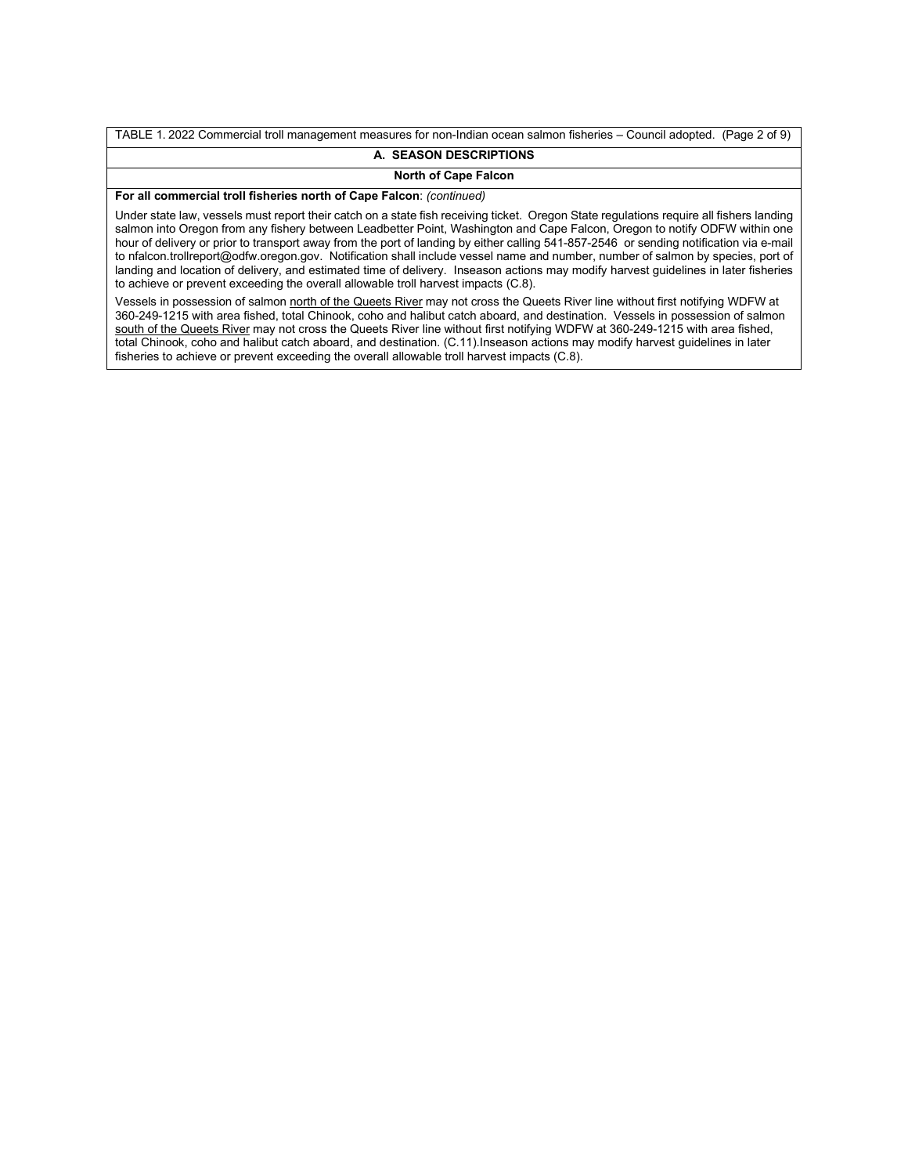TABLE 1. 2022 Commercial troll management measures for non-Indian ocean salmon fisheries – Council adopted. (Page 2 of 9) **A. SEASON DESCRIPTIONS**

# **North of Cape Falcon**

**For all commercial troll fisheries north of Cape Falcon**: *(continued)*

Under state law, vessels must report their catch on a state fish receiving ticket. Oregon State regulations require all fishers landing salmon into Oregon from any fishery between Leadbetter Point, Washington and Cape Falcon, Oregon to notify ODFW within one hour of delivery or prior to transport away from the port of landing by either calling 541-857-2546 or sending notification via e-mail to nfalcon.trollreport@odfw.oregon.gov. Notification shall include vessel name and number, number of salmon by species, port of landing and location of delivery, and estimated time of delivery. Inseason actions may modify harvest guidelines in later fisheries to achieve or prevent exceeding the overall allowable troll harvest impacts (C.8).

Vessels in possession of salmon north of the Queets River may not cross the Queets River line without first notifying WDFW at 360-249-1215 with area fished, total Chinook, coho and halibut catch aboard, and destination. Vessels in possession of salmon south of the Queets River may not cross the Queets River line without first notifying WDFW at 360-249-1215 with area fished, total Chinook, coho and halibut catch aboard, and destination. (C.11).Inseason actions may modify harvest guidelines in later fisheries to achieve or prevent exceeding the overall allowable troll harvest impacts (C.8).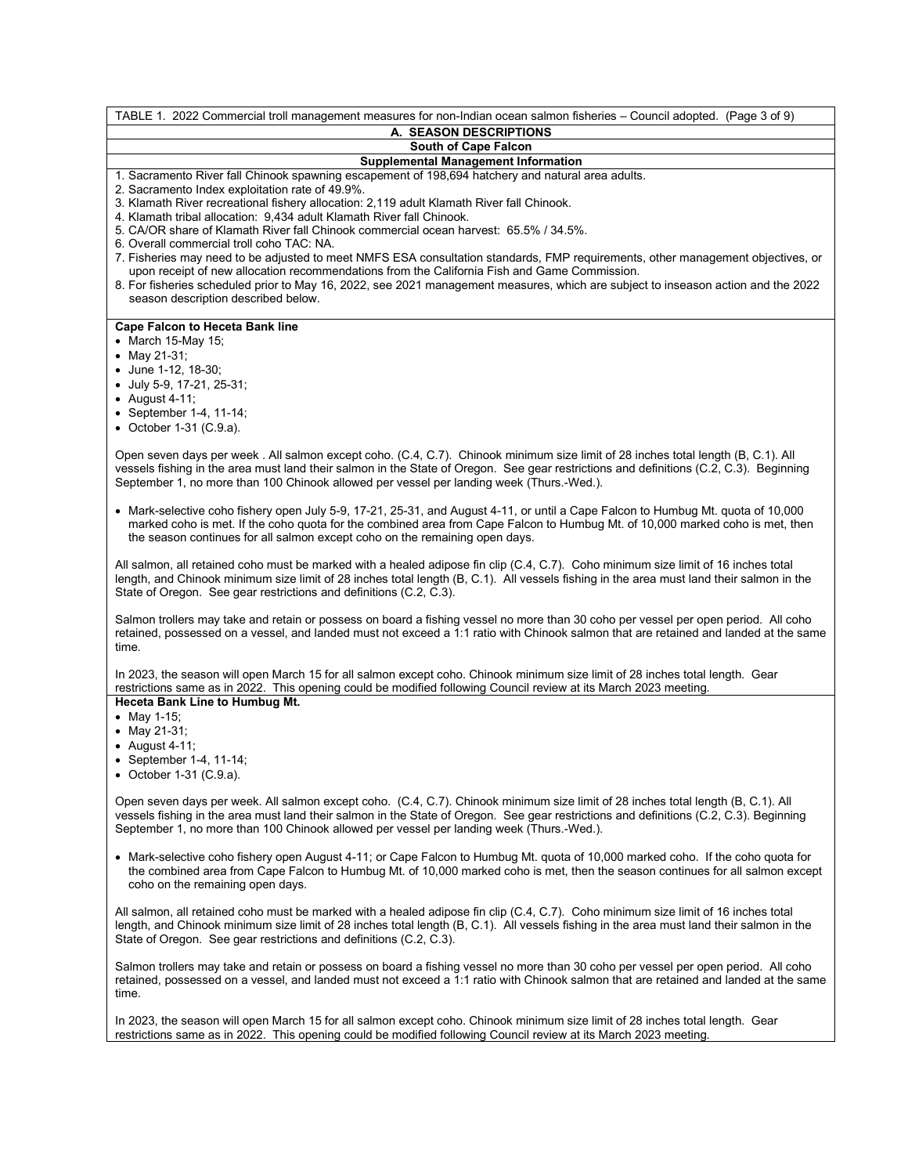| TABLE 1. 2022 Commercial troll management measures for non-Indian ocean salmon fisheries – Council adopted. (Page 3 of 9)                                                                                                                                                                                                                                              |
|------------------------------------------------------------------------------------------------------------------------------------------------------------------------------------------------------------------------------------------------------------------------------------------------------------------------------------------------------------------------|
| A. SEASON DESCRIPTIONS                                                                                                                                                                                                                                                                                                                                                 |
| South of Cape Falcon                                                                                                                                                                                                                                                                                                                                                   |
| <b>Supplemental Management Information</b>                                                                                                                                                                                                                                                                                                                             |
| 1. Sacramento River fall Chinook spawning escapement of 198,694 hatchery and natural area adults.<br>2. Sacramento Index exploitation rate of 49.9%.<br>3. Klamath River recreational fishery allocation: 2,119 adult Klamath River fall Chinook.                                                                                                                      |
| 4. Klamath tribal allocation: 9,434 adult Klamath River fall Chinook.                                                                                                                                                                                                                                                                                                  |
| 5. CA/OR share of Klamath River fall Chinook commercial ocean harvest: 65.5% / 34.5%.                                                                                                                                                                                                                                                                                  |
| 6. Overall commercial troll coho TAC: NA.<br>7. Fisheries may need to be adjusted to meet NMFS ESA consultation standards, FMP requirements, other management objectives, or<br>upon receipt of new allocation recommendations from the California Fish and Game Commission.                                                                                           |
| 8. For fisheries scheduled prior to May 16, 2022, see 2021 management measures, which are subject to inseason action and the 2022<br>season description described below.                                                                                                                                                                                               |
| <b>Cape Falcon to Heceta Bank line</b>                                                                                                                                                                                                                                                                                                                                 |
| • March 15-May 15;                                                                                                                                                                                                                                                                                                                                                     |
| • May 21-31;                                                                                                                                                                                                                                                                                                                                                           |
| • June 1-12, 18-30;                                                                                                                                                                                                                                                                                                                                                    |
| • July 5-9, 17-21, 25-31;                                                                                                                                                                                                                                                                                                                                              |
| $\bullet$ August 4-11;                                                                                                                                                                                                                                                                                                                                                 |
| • September 1-4, 11-14;                                                                                                                                                                                                                                                                                                                                                |
| • October 1-31 $(C.9.a)$                                                                                                                                                                                                                                                                                                                                               |
|                                                                                                                                                                                                                                                                                                                                                                        |
| Open seven days per week. All salmon except coho. (C.4, C.7). Chinook minimum size limit of 28 inches total length (B, C.1). All<br>vessels fishing in the area must land their salmon in the State of Oregon. See gear restrictions and definitions (C.2, C.3). Beginning<br>September 1, no more than 100 Chinook allowed per vessel per landing week (Thurs.-Wed.). |
| • Mark-selective coho fishery open July 5-9, 17-21, 25-31, and August 4-11, or until a Cape Falcon to Humbug Mt. quota of 10,000<br>marked coho is met. If the coho quota for the combined area from Cape Falcon to Humbug Mt. of 10,000 marked coho is met, then<br>the season continues for all salmon except coho on the remaining open days.                       |
| All salmon, all retained coho must be marked with a healed adipose fin clip (C.4, C.7). Coho minimum size limit of 16 inches total<br>length, and Chinook minimum size limit of 28 inches total length (B, C.1). All vessels fishing in the area must land their salmon in the<br>State of Oregon. See gear restrictions and definitions (C.2, C.3).                   |
| Salmon trollers may take and retain or possess on board a fishing vessel no more than 30 coho per vessel per open period. All coho<br>retained, possessed on a vessel, and landed must not exceed a 1:1 ratio with Chinook salmon that are retained and landed at the same<br>time.                                                                                    |
| In 2023, the season will open March 15 for all salmon except coho. Chinook minimum size limit of 28 inches total length. Gear<br>restrictions same as in 2022. This opening could be modified following Council review at its March 2023 meeting.                                                                                                                      |
| Heceta Bank Line to Humbug Mt.<br>• May 1-15;<br>• May 21-31;                                                                                                                                                                                                                                                                                                          |
| $\bullet$ August 4-11;<br>• September 1-4, 11-14;                                                                                                                                                                                                                                                                                                                      |
| • October 1-31 (C.9.a).                                                                                                                                                                                                                                                                                                                                                |
| Open seven days per week. All salmon except coho. (C.4, C.7). Chinook minimum size limit of 28 inches total length (B, C.1). All<br>vessels fishing in the area must land their salmon in the State of Oregon. See gear restrictions and definitions (C.2, C.3). Beginning<br>September 1, no more than 100 Chinook allowed per vessel per landing week (Thurs.-Wed.). |
| • Mark-selective coho fishery open August 4-11; or Cape Falcon to Humbug Mt. quota of 10,000 marked coho. If the coho quota for<br>the combined area from Cape Falcon to Humbug Mt. of 10,000 marked coho is met, then the season continues for all salmon except<br>coho on the remaining open days.                                                                  |
| All salmon, all retained coho must be marked with a healed adipose fin clip (C.4, C.7). Coho minimum size limit of 16 inches total<br>length, and Chinook minimum size limit of 28 inches total length (B, C.1). All vessels fishing in the area must land their salmon in the<br>State of Oregon. See gear restrictions and definitions (C.2, C.3).                   |
| Salmon trollers may take and retain or possess on board a fishing vessel no more than 30 coho per vessel per open period. All coho<br>retained, possessed on a vessel, and landed must not exceed a 1:1 ratio with Chinook salmon that are retained and landed at the same<br>time.                                                                                    |

In 2023, the season will open March 15 for all salmon except coho. Chinook minimum size limit of 28 inches total length. Gear restrictions same as in 2022. This opening could be modified following Council review at its March 2023 meeting.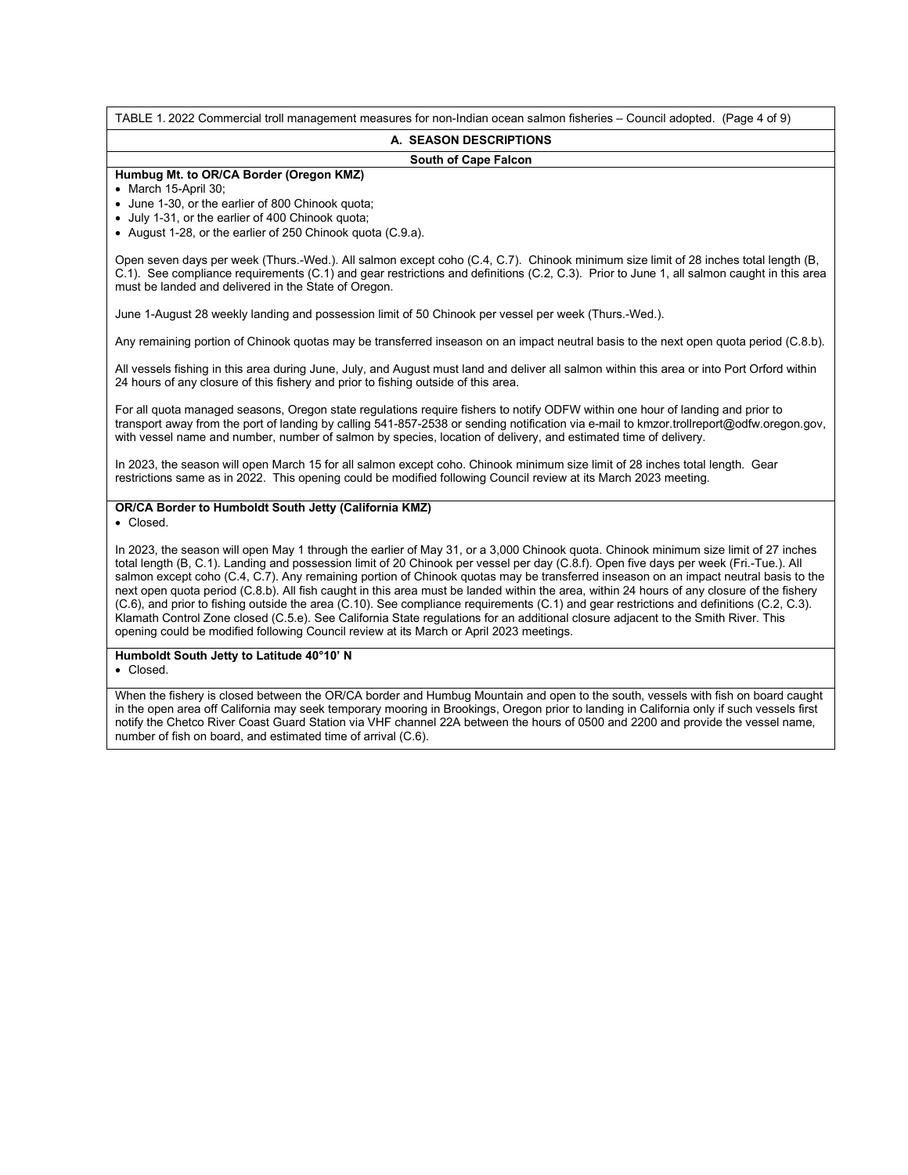TABLE 1. 2022 Commercial troll management measures for non-Indian ocean salmon fisheries – Council adopted. (Page 4 of 9)

#### **A. SEASON DESCRIPTIONS**

# **South of Cape Falcon**

#### **Humbug Mt. to OR/CA Border (Oregon KMZ)**

• March 15-April 30;

- June 1-30, or the earlier of 800 Chinook quota;
- July 1-31, or the earlier of 400 Chinook quota;
- August 1-28, or the earlier of 250 Chinook quota (C.9.a).

Open seven days per week (Thurs.-Wed.). All salmon except coho (C.4, C.7). Chinook minimum size limit of 28 inches total length (B, C.1).See compliance requirements (C.1) and gear restrictions and definitions (C.2, C.3). Prior to June 1, all salmon caught in this area must be landed and delivered in the State of Oregon.

June 1-August 28 weekly landing and possession limit of 50 Chinook per vessel per week (Thurs.-Wed.).

Any remaining portion of Chinook quotas may be transferred inseason on an impact neutral basis to the next open quota period (C.8.b).

All vessels fishing in this area during June, July, and August must land and deliver all salmon within this area or into Port Orford within 24 hours of any closure of this fishery and prior to fishing outside of this area.

For all quota managed seasons, Oregon state regulations require fishers to notify ODFW within one hour of landing and prior to transport away from the port of landing by calling 541-857-2538 or sending notification via e-mail to kmzor.trollreport@odfw.oregon.gov, with vessel name and number, number of salmon by species, location of delivery, and estimated time of delivery.

In 2023, the season will open March 15 for all salmon except coho. Chinook minimum size limit of 28 inches total length. Gear restrictions same as in 2022. This opening could be modified following Council review at its March 2023 meeting.

#### **OR/CA Border to Humboldt South Jetty (California KMZ)**

• Closed.

In 2023, the season will open May 1 through the earlier of May 31, or a 3,000 Chinook quota. Chinook minimum size limit of 27 inches total length (B, C.1). Landing and possession limit of 20 Chinook per vessel per day (C.8.f). Open five days per week (Fri.-Tue.). All salmon except coho (C.4, C.7). Any remaining portion of Chinook quotas may be transferred inseason on an impact neutral basis to the next open quota period (C.8.b). All fish caught in this area must be landed within the area, within 24 hours of any closure of the fishery (C.6), and prior to fishing outside the area (C.10). See compliance requirements (C.1) and gear restrictions and definitions (C.2, C.3). Klamath Control Zone closed (C.5.e). See California State regulations for an additional closure adjacent to the Smith River. This opening could be modified following Council review at its March or April 2023 meetings.

#### **Humboldt South Jetty to Latitude 40°10' N**

• Closed.

When the fishery is closed between the OR/CA border and Humbug Mountain and open to the south, vessels with fish on board caught in the open area off California may seek temporary mooring in Brookings, Oregon prior to landing in California only if such vessels first notify the Chetco River Coast Guard Station via VHF channel 22A between the hours of 0500 and 2200 and provide the vessel name, number of fish on board, and estimated time of arrival (C.6).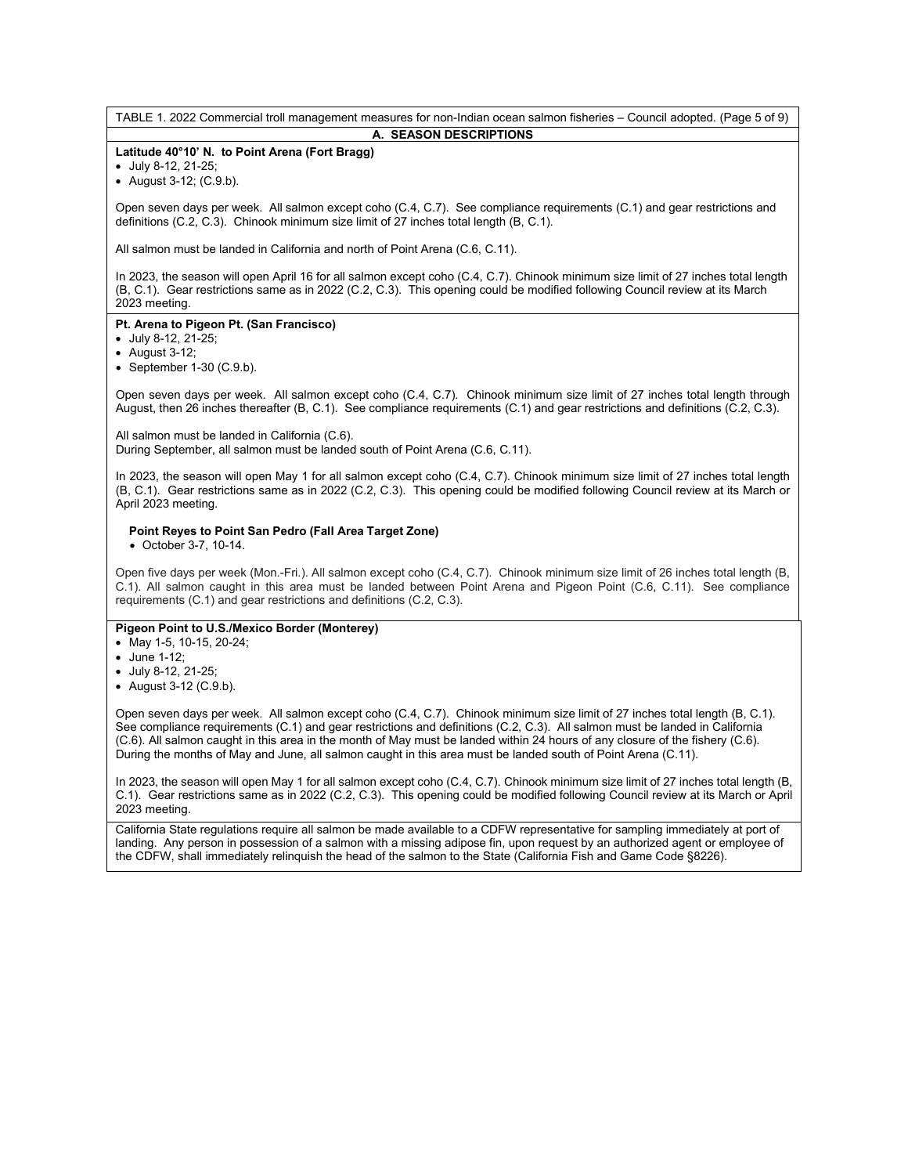TABLE 1. 2022 Commercial troll management measures for non-Indian ocean salmon fisheries – Council adopted. (Page 5 of 9) **A. SEASON DESCRIPTIONS**

# **Latitude 40°10' N. to Point Arena (Fort Bragg)**

• July 8-12, 21-25;

• August 3-12; (C.9.b).

Open seven days per week. All salmon except coho (C.4, C.7). See compliance requirements (C.1) and gear restrictions and definitions (C.2, C.3). Chinook minimum size limit of 27 inches total length (B, C.1).

All salmon must be landed in California and north of Point Arena (C.6, C.11).

In 2023, the season will open April 16 for all salmon except coho (C.4, C.7). Chinook minimum size limit of 27 inches total length (B, C.1). Gear restrictions same as in 2022 (C.2, C.3). This opening could be modified following Council review at its March 2023 meeting.

# **Pt. Arena to Pigeon Pt. (San Francisco)**

• July 8-12, 21-25;

- August 3-12;
- $\bullet$  September 1-30 (C.9.b).

Open seven days per week. All salmon except coho (C.4, C.7). Chinook minimum size limit of 27 inches total length through August, then 26 inches thereafter (B, C.1). See compliance requirements (C.1) and gear restrictions and definitions (C.2, C.3).

All salmon must be landed in California (C.6). During September, all salmon must be landed south of Point Arena (C.6, C.11).

In 2023, the season will open May 1 for all salmon except coho (C.4, C.7). Chinook minimum size limit of 27 inches total length (B, C.1). Gear restrictions same as in 2022 (C.2, C.3). This opening could be modified following Council review at its March or April 2023 meeting.

# **Point Reyes to Point San Pedro (Fall Area Target Zone)**

• October 3-7, 10-14.

Open five days per week (Mon.-Fri.). All salmon except coho (C.4, C.7). Chinook minimum size limit of 26 inches total length (B, C.1). All salmon caught in this area must be landed between Point Arena and Pigeon Point (C.6, C.11). See compliance requirements (C.1) and gear restrictions and definitions (C.2, C.3).

#### **Pigeon Point to U.S./Mexico Border (Monterey)**

- May 1-5, 10-15, 20-24;
- June 1-12;
- July 8-12, 21-25;
- August 3-12 (C.9.b).

Open seven days per week. All salmon except coho (C.4, C.7). Chinook minimum size limit of 27 inches total length (B, C.1). See compliance requirements (C.1) and gear restrictions and definitions (C.2, C.3). All salmon must be landed in California (C.6). All salmon caught in this area in the month of May must be landed within 24 hours of any closure of the fishery (C.6). During the months of May and June, all salmon caught in this area must be landed south of Point Arena (C.11).

In 2023, the season will open May 1 for all salmon except coho (C.4, C.7). Chinook minimum size limit of 27 inches total length (B, C.1). Gear restrictions same as in 2022 (C.2, C.3). This opening could be modified following Council review at its March or April 2023 meeting.

California State regulations require all salmon be made available to a CDFW representative for sampling immediately at port of landing. Any person in possession of a salmon with a missing adipose fin, upon request by an authorized agent or employee of the CDFW, shall immediately relinquish the head of the salmon to the State (California Fish and Game Code §8226).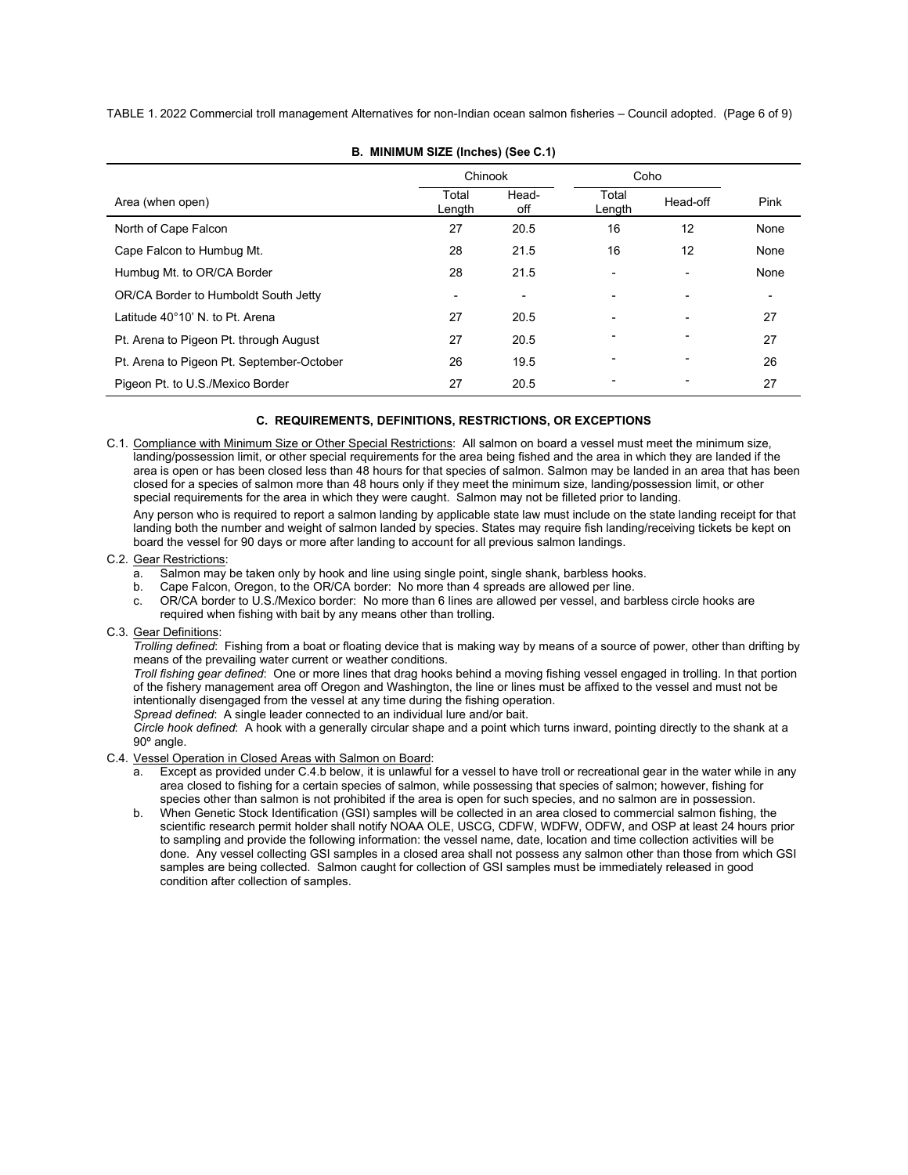TABLE 1. 2022 Commercial troll management Alternatives for non-Indian ocean salmon fisheries – Council adopted. (Page 6 of 9)

|                                           | Chinook                  |                | Coho            |                          |      |  |  |
|-------------------------------------------|--------------------------|----------------|-----------------|--------------------------|------|--|--|
| Area (when open)                          | Total<br>Length          | Head-<br>off   | Total<br>Length | Head-off                 | Pink |  |  |
| North of Cape Falcon                      | 27                       | 20.5           | 16              | 12                       | None |  |  |
| Cape Falcon to Humbug Mt.                 | 28                       | 21.5           | 16              | 12                       | None |  |  |
| Humbug Mt. to OR/CA Border                | 28                       | 21.5           | ٠               | $\blacksquare$           | None |  |  |
| OR/CA Border to Humboldt South Jetty      | $\overline{\phantom{0}}$ | $\overline{a}$ |                 | $\overline{\phantom{0}}$ | -    |  |  |
| Latitude 40°10' N. to Pt. Arena           | 27                       | 20.5           |                 | $\blacksquare$           | 27   |  |  |
| Pt. Arena to Pigeon Pt. through August    | 27                       | 20.5           |                 |                          | 27   |  |  |
| Pt. Arena to Pigeon Pt. September-October | 26                       | 19.5           | ٠               | ٠                        | 26   |  |  |
| Pigeon Pt. to U.S./Mexico Border          | 27                       | 20.5           |                 |                          | 27   |  |  |

**B. MINIMUM SIZE (Inches) (See C.1)**

# **C. REQUIREMENTS, DEFINITIONS, RESTRICTIONS, OR EXCEPTIONS**

C.1. Compliance with Minimum Size or Other Special Restrictions: All salmon on board a vessel must meet the minimum size, landing/possession limit, or other special requirements for the area being fished and the area in which they are landed if the area is open or has been closed less than 48 hours for that species of salmon. Salmon may be landed in an area that has been closed for a species of salmon more than 48 hours only if they meet the minimum size, landing/possession limit, or other special requirements for the area in which they were caught. Salmon may not be filleted prior to landing.

Any person who is required to report a salmon landing by applicable state law must include on the state landing receipt for that landing both the number and weight of salmon landed by species. States may require fish landing/receiving tickets be kept on board the vessel for 90 days or more after landing to account for all previous salmon landings.

#### C.2. Gear Restrictions:

- a. Salmon may be taken only by hook and line using single point, single shank, barbless hooks.
- b. Cape Falcon, Oregon, to the OR/CA border: No more than 4 spreads are allowed per line.
- c. OR/CA border to U.S./Mexico border: No more than 6 lines are allowed per vessel, and barbless circle hooks are required when fishing with bait by any means other than trolling.

#### C.3. Gear Definitions:

*Trolling defined*: Fishing from a boat or floating device that is making way by means of a source of power, other than drifting by means of the prevailing water current or weather conditions.

*Troll fishing gear defined*: One or more lines that drag hooks behind a moving fishing vessel engaged in trolling. In that portion of the fishery management area off Oregon and Washington, the line or lines must be affixed to the vessel and must not be intentionally disengaged from the vessel at any time during the fishing operation.

*Spread defined*: A single leader connected to an individual lure and/or bait.

*Circle hook defined*: A hook with a generally circular shape and a point which turns inward, pointing directly to the shank at a 90º angle.

# C.4. Vessel Operation in Closed Areas with Salmon on Board:

- a. Except as provided under C.4.b below, it is unlawful for a vessel to have troll or recreational gear in the water while in any area closed to fishing for a certain species of salmon, while possessing that species of salmon; however, fishing for species other than salmon is not prohibited if the area is open for such species, and no salmon are in possession.
- b. When Genetic Stock Identification (GSI) samples will be collected in an area closed to commercial salmon fishing, the scientific research permit holder shall notify NOAA OLE, USCG, CDFW, WDFW, ODFW, and OSP at least 24 hours prior to sampling and provide the following information: the vessel name, date, location and time collection activities will be done. Any vessel collecting GSI samples in a closed area shall not possess any salmon other than those from which GSI samples are being collected. Salmon caught for collection of GSI samples must be immediately released in good condition after collection of samples.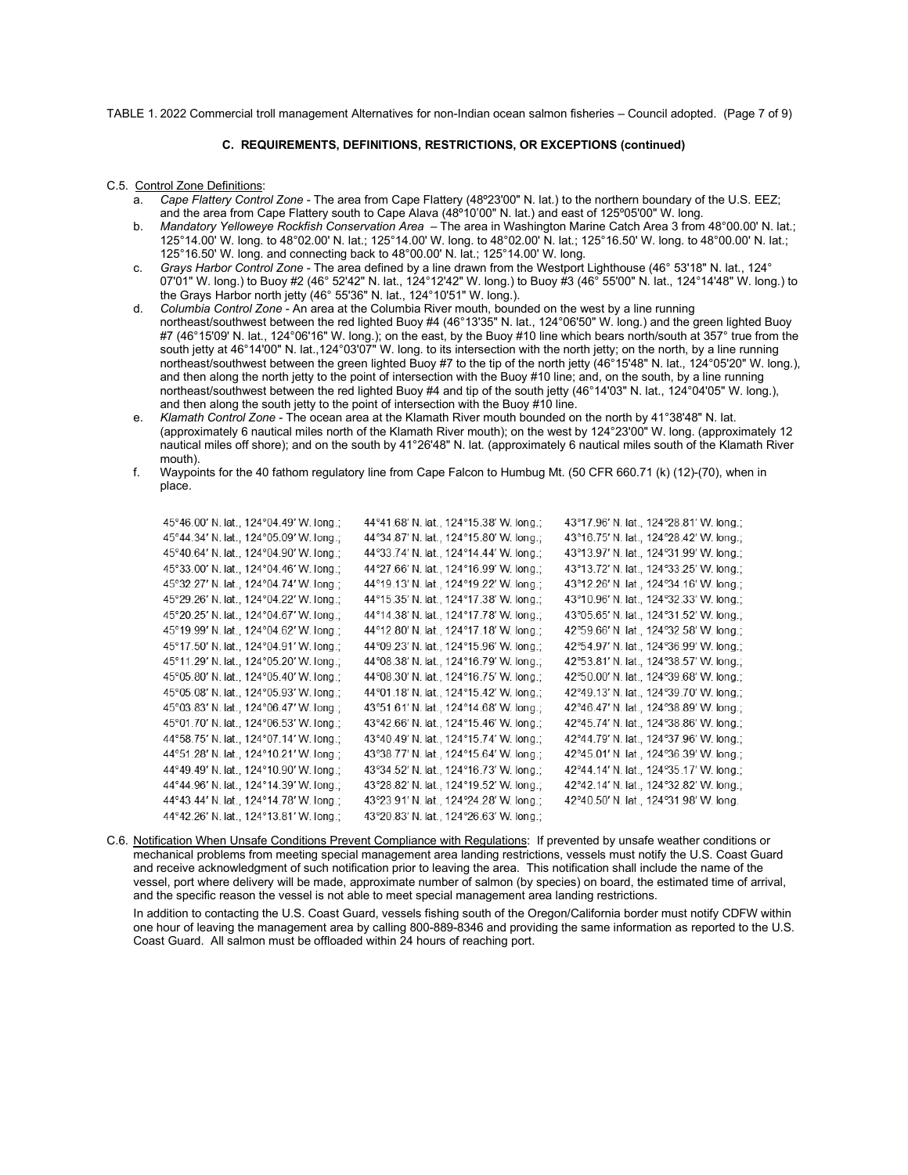TABLE 1. 2022 Commercial troll management Alternatives for non-Indian ocean salmon fisheries – Council adopted. (Page 7 of 9)

# **C. REQUIREMENTS, DEFINITIONS, RESTRICTIONS, OR EXCEPTIONS (continued)**

#### C.5. Control Zone Definitions:

- a. *Cape Flattery Control Zone*  The area from Cape Flattery (48º23'00" N. lat.) to the northern boundary of the U.S. EEZ; and the area from Cape Flattery south to Cape Alava (48º10'00" N. lat.) and east of 125º05'00" W. long.
- b. *Mandatory Yelloweye Rockfish Conservation Area* The area in Washington Marine Catch Area 3 from 48°00.00' N. lat.; 125°14.00' W. long. to 48°02.00' N. lat.; 125°14.00' W. long. to 48°02.00' N. lat.; 125°16.50' W. long. to 48°00.00' N. lat.; 125°16.50' W. long. and connecting back to 48°00.00' N. lat.; 125°14.00' W. long.
- c. *Grays Harbor Control Zone* The area defined by a line drawn from the Westport Lighthouse (46° 53'18" N. lat., 124° 07'01" W. long.) to Buoy #2 (46° 52'42" N. lat., 124°12'42" W. long.) to Buoy #3 (46° 55'00" N. lat., 124°14'48" W. long.) to the Grays Harbor north jetty (46° 55'36" N. lat., 124°10'51" W. long.).
- d. *Columbia Control Zone* An area at the Columbia River mouth, bounded on the west by a line running northeast/southwest between the red lighted Buoy #4 (46°13'35" N. lat., 124°06'50" W. long.) and the green lighted Buoy #7 (46°15'09' N. lat., 124°06'16" W. long.); on the east, by the Buoy #10 line which bears north/south at 357° true from the south jetty at 46°14'00" N. lat.,124°03'07" W. long. to its intersection with the north jetty; on the north, by a line running northeast/southwest between the green lighted Buoy #7 to the tip of the north jetty (46°15'48" N. lat., 124°05'20" W. long.), and then along the north jetty to the point of intersection with the Buoy #10 line; and, on the south, by a line running northeast/southwest between the red lighted Buoy #4 and tip of the south jetty (46°14'03" N. lat., 124°04'05" W. long.), and then along the south jetty to the point of intersection with the Buoy #10 line.
- e. *Klamath Control Zone* The ocean area at the Klamath River mouth bounded on the north by 41°38'48" N. lat. (approximately 6 nautical miles north of the Klamath River mouth); on the west by 124°23'00" W. long. (approximately 12 nautical miles off shore); and on the south by 41°26'48" N. lat. (approximately 6 nautical miles south of the Klamath River mouth).
- f. Waypoints for the 40 fathom regulatory line from Cape Falcon to Humbug Mt. (50 CFR 660.71 (k) (12)-(70), when in place.

| 45°46.00' N. lat., 124°04.49' W. long.; | 44°41.68' N. lat., 124°15.38' W. long.; | 43°17.96' N. lat., 124°28.81' W. long.; |
|-----------------------------------------|-----------------------------------------|-----------------------------------------|
| 45°44.34' N. lat., 124°05.09' W. long.; | 44°34.87' N. lat., 124°15.80' W. long.; | 43°16.75' N. lat., 124°28.42' W. long.; |
| 45°40.64' N. lat., 124°04.90' W. long.; | 44°33.74' N. lat., 124°14.44' W. long.; | 43°13.97' N. lat., 124°31.99' W. long.; |
| 45°33.00' N. lat., 124°04.46' W. long.; | 44°27.66' N. lat., 124°16.99' W. long.; | 43°13.72' N. lat., 124°33.25' W. long.; |
| 45°32.27' N. lat., 124°04.74' W. long.; | 44°19.13' N. lat., 124°19.22' W. long.; | 43°12.26' N. lat., 124°34.16' W. long.; |
| 45°29.26' N. lat., 124°04.22' W. long.; | 44°15.35' N. lat., 124°17.38' W. long.; | 43°10.96' N. lat., 124°32.33' W. long.; |
| 45°20.25' N. lat., 124°04.67' W. long.; | 44°14.38' N. lat., 124°17.78' W. long.; | 43°05.65' N. lat., 124°31.52' W. long.; |
| 45°19.99' N. lat., 124°04.62' W. long.; | 44°12.80' N. lat., 124°17.18' W. long.; | 42°59.66' N. lat., 124°32.58' W. long.; |
| 45°17.50' N. lat., 124°04.91' W. long.; | 44°09.23' N. lat., 124°15.96' W. long.; | 42°54.97' N. lat., 124°36.99' W. long.; |
| 45°11.29' N. lat., 124°05.20' W. long.; | 44°08.38' N. lat., 124°16.79' W. long.; | 42°53.81' N. lat., 124°38.57' W. long.; |
| 45°05.80' N. lat., 124°05.40' W. long.; | 44°08.30' N. lat., 124°16.75' W. long.; | 42°50.00' N. lat., 124°39.68' W. long.; |
| 45°05.08' N. lat., 124°05.93' W. long.; | 44°01.18' N. lat., 124°15.42' W. long.; | 42°49.13' N. lat., 124°39.70' W. long.; |
| 45°03.83' N. lat., 124°06.47' W. long.; | 43°51.61' N. lat., 124°14.68' W. long.; | 42°46.47' N. lat., 124°38.89' W. long.; |
| 45°01.70' N. lat., 124°06.53' W. long.; | 43°42.66' N. lat., 124°15.46' W. long.; | 42°45.74' N. lat., 124°38.86' W. long.; |
| 44°58.75' N. lat., 124°07.14' W. long.; | 43°40.49' N. lat., 124°15.74' W. long.; | 42°44.79' N. lat., 124°37.96' W. long.; |
| 44°51.28' N. lat., 124°10.21' W. long.; | 43°38.77' N. lat., 124°15.64' W. long.; | 42°45.01' N. lat., 124°36.39' W. long.; |
| 44°49.49' N. lat., 124°10.90' W. long.; | 43°34.52' N. lat., 124°16.73' W. long.; | 42°44.14' N. lat., 124°35.17' W. long.; |
| 44°44.96' N. lat., 124°14.39' W. long.; | 43°28.82' N. lat., 124°19.52' W. long.; | 42°42.14' N. lat., 124°32.82' W. long.; |
| 44°43.44' N. lat., 124°14.78' W. long.; | 43°23.91' N. lat., 124°24.28' W. long.; | 42°40.50' N. lat., 124°31.98' W. long.  |
| 44°42.26' N. lat., 124°13.81' W. long.; | 43°20.83' N. lat., 124°26.63' W. long.; |                                         |
|                                         |                                         |                                         |

C.6. Notification When Unsafe Conditions Prevent Compliance with Regulations: If prevented by unsafe weather conditions or mechanical problems from meeting special management area landing restrictions, vessels must notify the U.S. Coast Guard and receive acknowledgment of such notification prior to leaving the area. This notification shall include the name of the vessel, port where delivery will be made, approximate number of salmon (by species) on board, the estimated time of arrival, and the specific reason the vessel is not able to meet special management area landing restrictions.

In addition to contacting the U.S. Coast Guard, vessels fishing south of the Oregon/California border must notify CDFW within one hour of leaving the management area by calling 800-889-8346 and providing the same information as reported to the U.S. Coast Guard. All salmon must be offloaded within 24 hours of reaching port.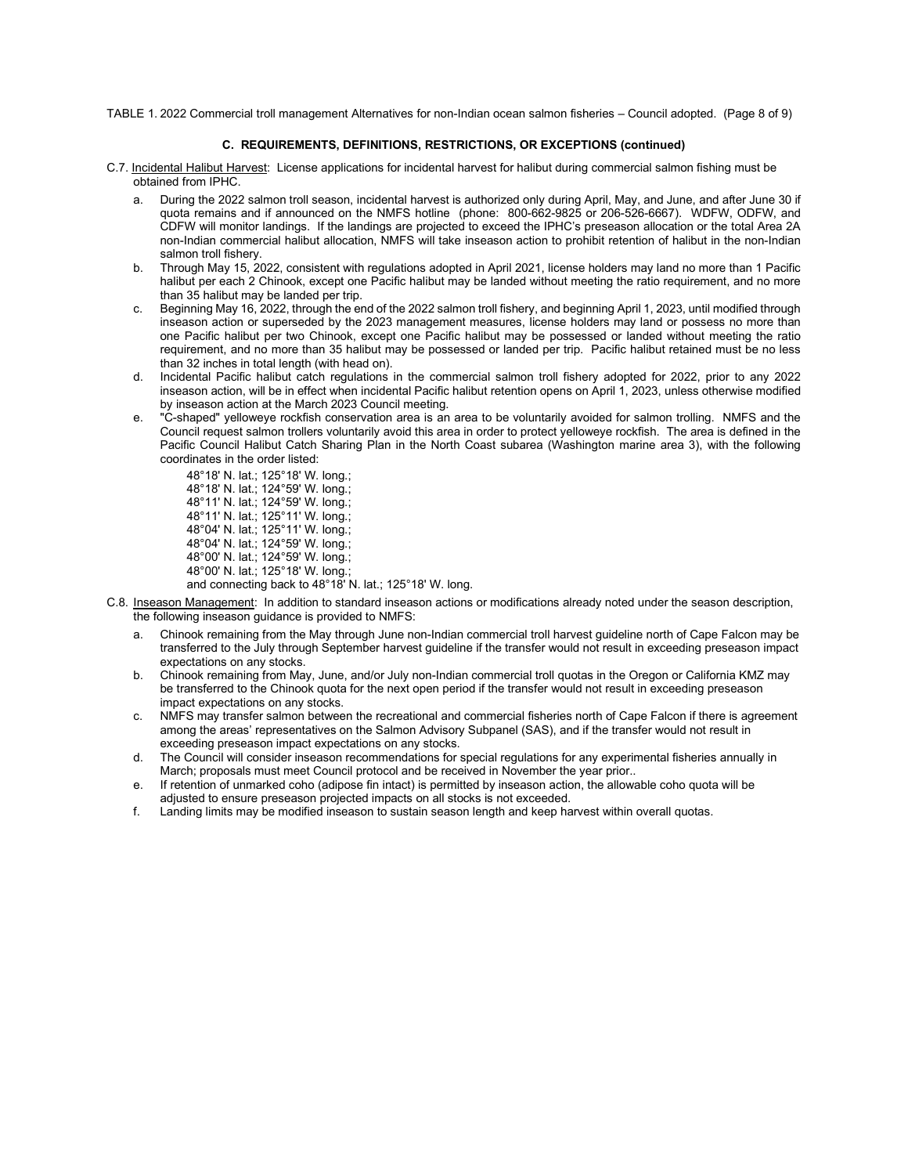TABLE 1. 2022 Commercial troll management Alternatives for non-Indian ocean salmon fisheries – Council adopted. (Page 8 of 9)

#### **C. REQUIREMENTS, DEFINITIONS, RESTRICTIONS, OR EXCEPTIONS (continued)**

- C.7. Incidental Halibut Harvest: License applications for incidental harvest for halibut during commercial salmon fishing must be obtained from IPHC.
	- a. During the 2022 salmon troll season, incidental harvest is authorized only during April, May, and June, and after June 30 if quota remains and if announced on the NMFS hotline (phone: 800-662-9825 or 206-526-6667). WDFW, ODFW, and CDFW will monitor landings. If the landings are projected to exceed the IPHC's preseason allocation or the total Area 2A non-Indian commercial halibut allocation, NMFS will take inseason action to prohibit retention of halibut in the non-Indian salmon troll fishery.
	- b. Through May 15, 2022, consistent with regulations adopted in April 2021, license holders may land no more than 1 Pacific halibut per each 2 Chinook, except one Pacific halibut may be landed without meeting the ratio requirement, and no more than 35 halibut may be landed per trip.
	- c. Beginning May 16, 2022, through the end of the 2022 salmon troll fishery, and beginning April 1, 2023, until modified through inseason action or superseded by the 2023 management measures, license holders may land or possess no more than one Pacific halibut per two Chinook, except one Pacific halibut may be possessed or landed without meeting the ratio requirement, and no more than 35 halibut may be possessed or landed per trip. Pacific halibut retained must be no less than 32 inches in total length (with head on).
	- d. Incidental Pacific halibut catch regulations in the commercial salmon troll fishery adopted for 2022, prior to any 2022 inseason action, will be in effect when incidental Pacific halibut retention opens on April 1, 2023, unless otherwise modified by inseason action at the March 2023 Council meeting.
	- e. "C-shaped" yelloweye rockfish conservation area is an area to be voluntarily avoided for salmon trolling. NMFS and the Council request salmon trollers voluntarily avoid this area in order to protect yelloweye rockfish. The area is defined in the Pacific Council Halibut Catch Sharing Plan in the North Coast subarea (Washington marine area 3), with the following coordinates in the order listed:

48°18' N. lat.; 125°18' W. long.; 48°18' N. lat.; 124°59' W. long.; 48°11' N. lat.; 124°59' W. long.; 48°11' N. lat.; 125°11' W. long.; 48°04' N. lat.; 125°11' W. long.; 48°04' N. lat.; 124°59' W. long.; 48°00' N. lat.; 124°59' W. long.; 48°00' N. lat.; 125°18' W. long.; and connecting back to 48°18' N. lat.; 125°18' W. long.

- C.8. Inseason Management: In addition to standard inseason actions or modifications already noted under the season description, the following inseason guidance is provided to NMFS:
	- a. Chinook remaining from the May through June non-Indian commercial troll harvest guideline north of Cape Falcon may be transferred to the July through September harvest guideline if the transfer would not result in exceeding preseason impact expectations on any stocks.
	- b. Chinook remaining from May, June, and/or July non-Indian commercial troll quotas in the Oregon or California KMZ may be transferred to the Chinook quota for the next open period if the transfer would not result in exceeding preseason impact expectations on any stocks.
	- c. NMFS may transfer salmon between the recreational and commercial fisheries north of Cape Falcon if there is agreement among the areas' representatives on the Salmon Advisory Subpanel (SAS), and if the transfer would not result in exceeding preseason impact expectations on any stocks.
	- d. The Council will consider inseason recommendations for special regulations for any experimental fisheries annually in March; proposals must meet Council protocol and be received in November the year prior..
	- e. If retention of unmarked coho (adipose fin intact) is permitted by inseason action, the allowable coho quota will be adjusted to ensure preseason projected impacts on all stocks is not exceeded.
	- f. Landing limits may be modified inseason to sustain season length and keep harvest within overall quotas.